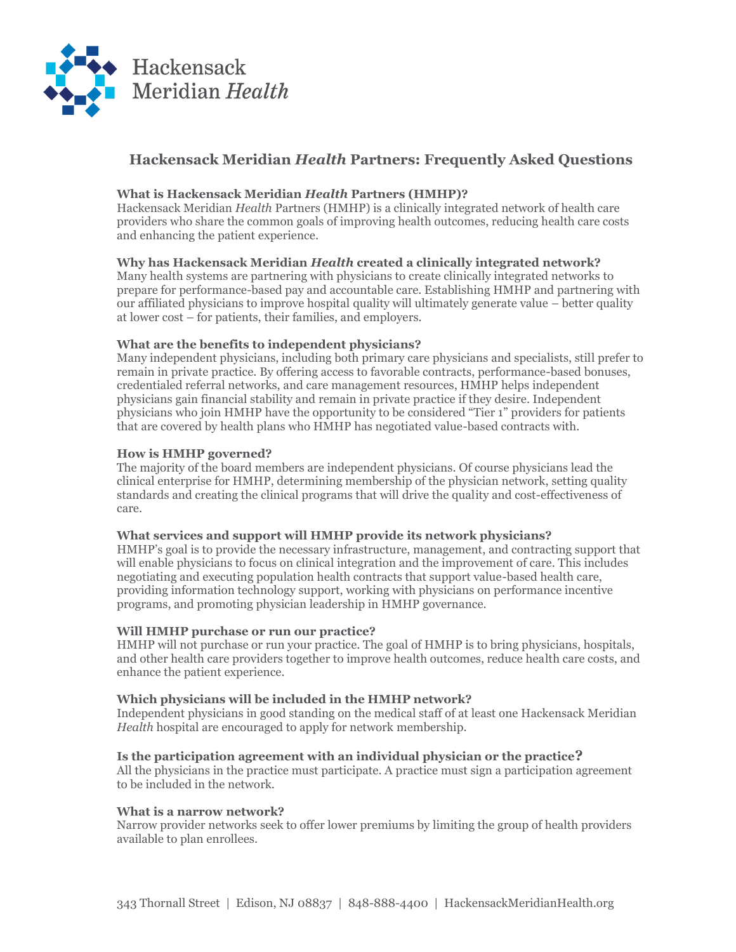

## **Hackensack Meridian** *Health* **Partners: Frequently Asked Questions**

### **What is Hackensack Meridian** *Health* **Partners (HMHP)?**

Hackensack Meridian *Health* Partners (HMHP) is a clinically integrated network of health care providers who share the common goals of improving health outcomes, reducing health care costs and enhancing the patient experience.

## **Why has Hackensack Meridian** *Health* **created a clinically integrated network?**

Many health systems are partnering with physicians to create clinically integrated networks to prepare for performance-based pay and accountable care. Establishing HMHP and partnering with our affiliated physicians to improve hospital quality will ultimately generate value – better quality at lower cost – for patients, their families, and employers.

## **What are the benefits to independent physicians?**

Many independent physicians, including both primary care physicians and specialists, still prefer to remain in private practice. By offering access to favorable contracts, performance-based bonuses, credentialed referral networks, and care management resources, HMHP helps independent physicians gain financial stability and remain in private practice if they desire. Independent physicians who join HMHP have the opportunity to be considered "Tier 1" providers for patients that are covered by health plans who HMHP has negotiated value-based contracts with.

## **How is HMHP governed?**

The majority of the board members are independent physicians. Of course physicians lead the clinical enterprise for HMHP, determining membership of the physician network, setting quality standards and creating the clinical programs that will drive the quality and cost-effectiveness of care.

### **What services and support will HMHP provide its network physicians?**

HMHP's goal is to provide the necessary infrastructure, management, and contracting support that will enable physicians to focus on clinical integration and the improvement of care. This includes negotiating and executing population health contracts that support value-based health care, providing information technology support, working with physicians on performance incentive programs, and promoting physician leadership in HMHP governance.

### **Will HMHP purchase or run our practice?**

HMHP will not purchase or run your practice. The goal of HMHP is to bring physicians, hospitals, and other health care providers together to improve health outcomes, reduce health care costs, and enhance the patient experience.

### **Which physicians will be included in the HMHP network?**

Independent physicians in good standing on the medical staff of at least one Hackensack Meridian *Health* hospital are encouraged to apply for network membership.

### **Is the participation agreement with an individual physician or the practice?**

All the physicians in the practice must participate. A practice must sign a participation agreement to be included in the network.

### **What is a narrow network?**

Narrow provider networks seek to offer lower premiums by limiting the group of health providers available to plan enrollees.